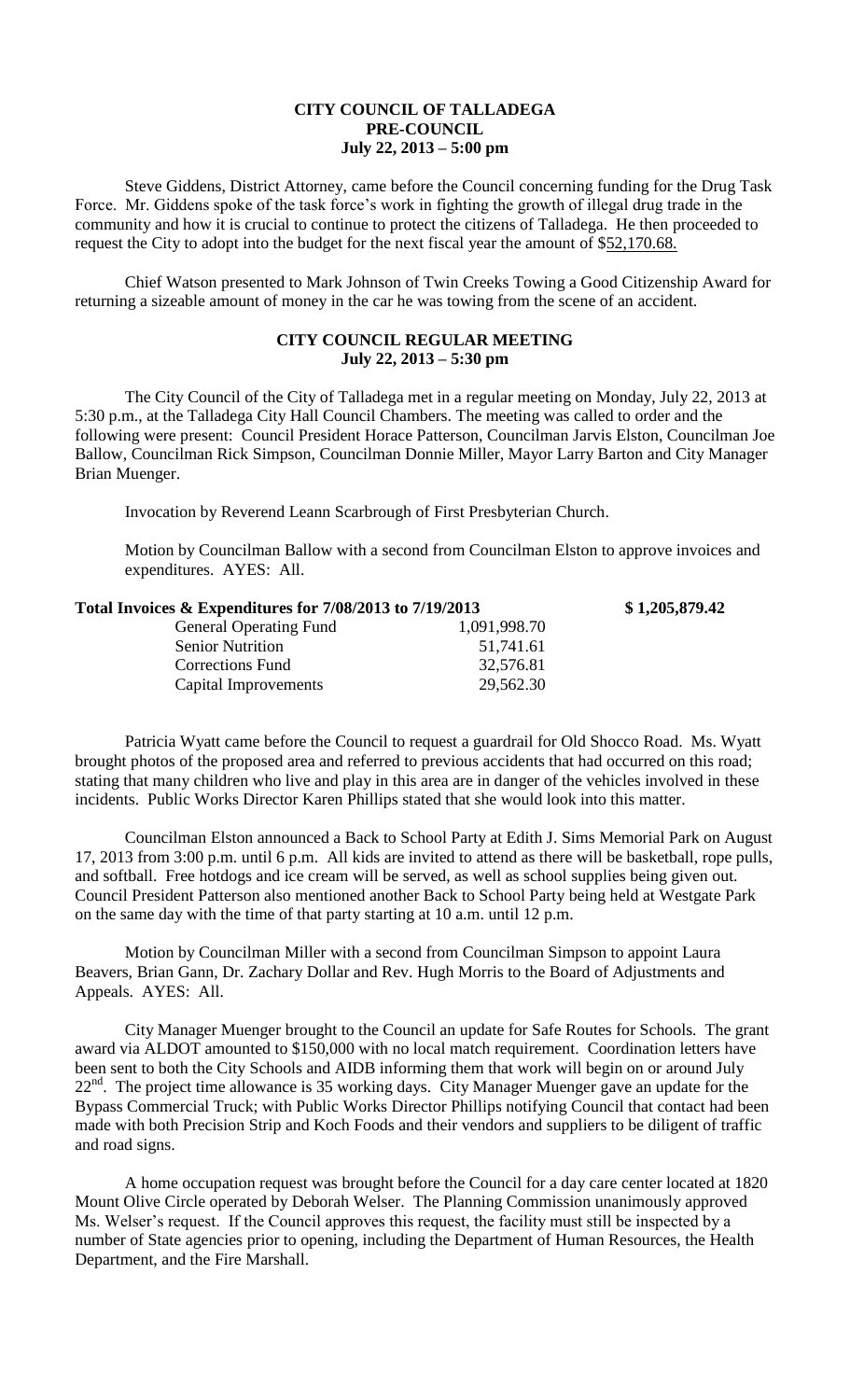## **CITY COUNCIL OF TALLADEGA PRE-COUNCIL July 22, 2013 – 5:00 pm**

Steve Giddens, District Attorney, came before the Council concerning funding for the Drug Task Force. Mr. Giddens spoke of the task force's work in fighting the growth of illegal drug trade in the community and how it is crucial to continue to protect the citizens of Talladega. He then proceeded to request the City to adopt into the budget for the next fiscal year the amount of \$52,170.68.

Chief Watson presented to Mark Johnson of Twin Creeks Towing a Good Citizenship Award for returning a sizeable amount of money in the car he was towing from the scene of an accident.

## **CITY COUNCIL REGULAR MEETING July 22, 2013 – 5:30 pm**

The City Council of the City of Talladega met in a regular meeting on Monday, July 22, 2013 at 5:30 p.m., at the Talladega City Hall Council Chambers. The meeting was called to order and the following were present: Council President Horace Patterson, Councilman Jarvis Elston, Councilman Joe Ballow, Councilman Rick Simpson, Councilman Donnie Miller, Mayor Larry Barton and City Manager Brian Muenger.

Invocation by Reverend Leann Scarbrough of First Presbyterian Church.

Motion by Councilman Ballow with a second from Councilman Elston to approve invoices and expenditures. AYES: All.

| Total Invoices & Expenditures for 7/08/2013 to 7/19/2013 | \$1,205,879.42 |
|----------------------------------------------------------|----------------|
| 1,091,998.70                                             |                |
| 51,741.61                                                |                |
| 32,576.81                                                |                |
| 29,562.30                                                |                |
|                                                          |                |

Patricia Wyatt came before the Council to request a guardrail for Old Shocco Road. Ms. Wyatt brought photos of the proposed area and referred to previous accidents that had occurred on this road; stating that many children who live and play in this area are in danger of the vehicles involved in these incidents. Public Works Director Karen Phillips stated that she would look into this matter.

Councilman Elston announced a Back to School Party at Edith J. Sims Memorial Park on August 17, 2013 from 3:00 p.m. until 6 p.m. All kids are invited to attend as there will be basketball, rope pulls, and softball. Free hotdogs and ice cream will be served, as well as school supplies being given out. Council President Patterson also mentioned another Back to School Party being held at Westgate Park on the same day with the time of that party starting at 10 a.m. until 12 p.m.

Motion by Councilman Miller with a second from Councilman Simpson to appoint Laura Beavers, Brian Gann, Dr. Zachary Dollar and Rev. Hugh Morris to the Board of Adjustments and Appeals. AYES: All.

City Manager Muenger brought to the Council an update for Safe Routes for Schools. The grant award via ALDOT amounted to \$150,000 with no local match requirement. Coordination letters have been sent to both the City Schools and AIDB informing them that work will begin on or around July  $22<sup>nd</sup>$ . The project time allowance is 35 working days. City Manager Muenger gave an update for the Bypass Commercial Truck; with Public Works Director Phillips notifying Council that contact had been made with both Precision Strip and Koch Foods and their vendors and suppliers to be diligent of traffic and road signs.

A home occupation request was brought before the Council for a day care center located at 1820 Mount Olive Circle operated by Deborah Welser. The Planning Commission unanimously approved Ms. Welser's request. If the Council approves this request, the facility must still be inspected by a number of State agencies prior to opening, including the Department of Human Resources, the Health Department, and the Fire Marshall.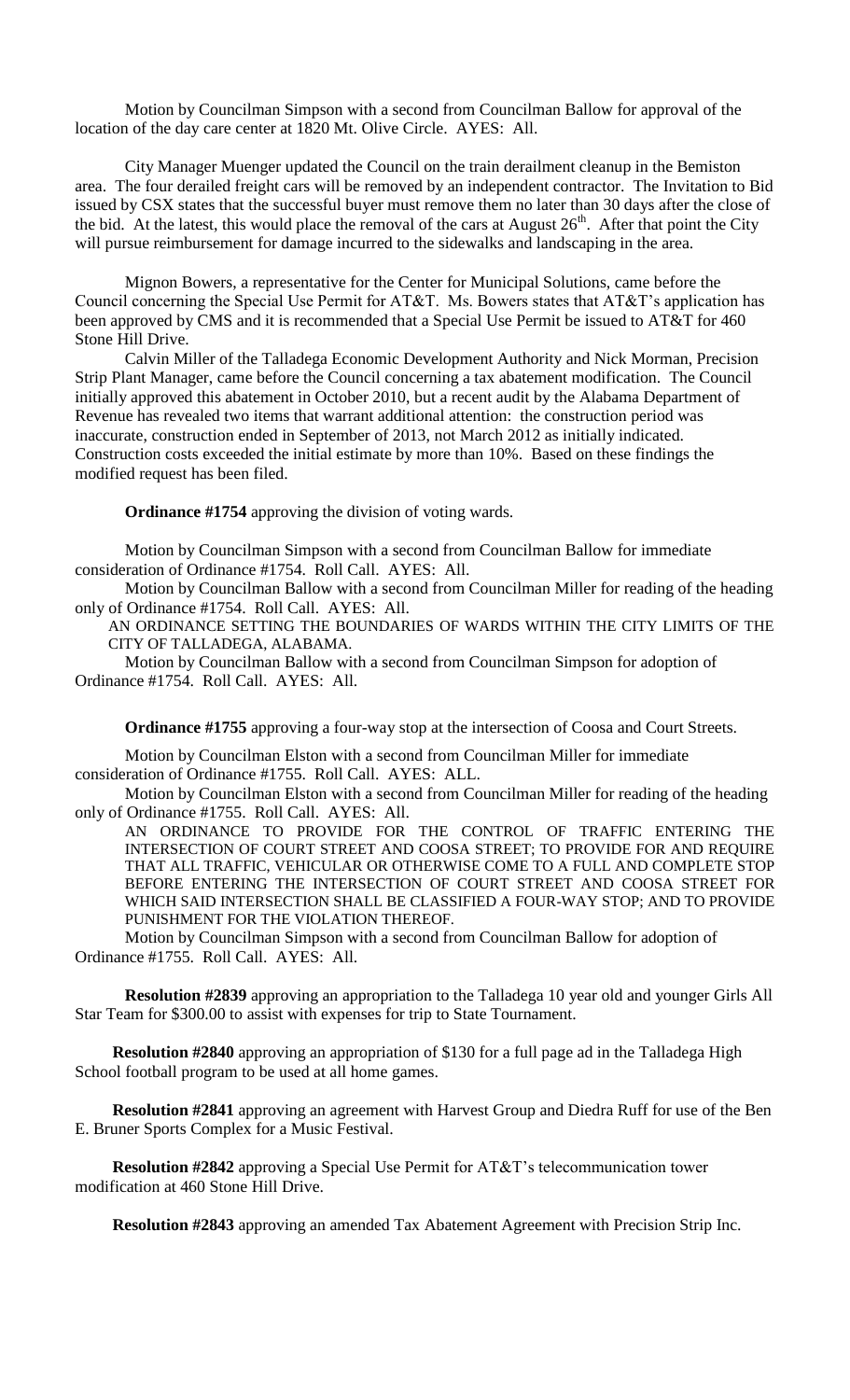Motion by Councilman Simpson with a second from Councilman Ballow for approval of the location of the day care center at 1820 Mt. Olive Circle. AYES: All.

City Manager Muenger updated the Council on the train derailment cleanup in the Bemiston area. The four derailed freight cars will be removed by an independent contractor. The Invitation to Bid issued by CSX states that the successful buyer must remove them no later than 30 days after the close of the bid. At the latest, this would place the removal of the cars at August  $26<sup>th</sup>$ . After that point the City will pursue reimbursement for damage incurred to the sidewalks and landscaping in the area.

Mignon Bowers, a representative for the Center for Municipal Solutions, came before the Council concerning the Special Use Permit for AT&T. Ms. Bowers states that AT&T's application has been approved by CMS and it is recommended that a Special Use Permit be issued to AT&T for 460 Stone Hill Drive.

Calvin Miller of the Talladega Economic Development Authority and Nick Morman, Precision Strip Plant Manager, came before the Council concerning a tax abatement modification. The Council initially approved this abatement in October 2010, but a recent audit by the Alabama Department of Revenue has revealed two items that warrant additional attention: the construction period was inaccurate, construction ended in September of 2013, not March 2012 as initially indicated. Construction costs exceeded the initial estimate by more than 10%. Based on these findings the modified request has been filed.

**Ordinance #1754** approving the division of voting wards.

Motion by Councilman Simpson with a second from Councilman Ballow for immediate consideration of Ordinance #1754. Roll Call. AYES: All.

Motion by Councilman Ballow with a second from Councilman Miller for reading of the heading only of Ordinance #1754. Roll Call. AYES: All.

AN ORDINANCE SETTING THE BOUNDARIES OF WARDS WITHIN THE CITY LIMITS OF THE CITY OF TALLADEGA, ALABAMA.

Motion by Councilman Ballow with a second from Councilman Simpson for adoption of Ordinance #1754. Roll Call. AYES: All.

**Ordinance #1755** approving a four-way stop at the intersection of Coosa and Court Streets.

Motion by Councilman Elston with a second from Councilman Miller for immediate consideration of Ordinance #1755. Roll Call. AYES: ALL.

Motion by Councilman Elston with a second from Councilman Miller for reading of the heading only of Ordinance #1755. Roll Call. AYES: All.

AN ORDINANCE TO PROVIDE FOR THE CONTROL OF TRAFFIC ENTERING THE INTERSECTION OF COURT STREET AND COOSA STREET; TO PROVIDE FOR AND REQUIRE THAT ALL TRAFFIC, VEHICULAR OR OTHERWISE COME TO A FULL AND COMPLETE STOP BEFORE ENTERING THE INTERSECTION OF COURT STREET AND COOSA STREET FOR WHICH SAID INTERSECTION SHALL BE CLASSIFIED A FOUR-WAY STOP; AND TO PROVIDE PUNISHMENT FOR THE VIOLATION THEREOF.

Motion by Councilman Simpson with a second from Councilman Ballow for adoption of Ordinance #1755. Roll Call. AYES: All.

**Resolution #2839** approving an appropriation to the Talladega 10 year old and younger Girls All Star Team for \$300.00 to assist with expenses for trip to State Tournament.

**Resolution #2840** approving an appropriation of \$130 for a full page ad in the Talladega High School football program to be used at all home games.

**Resolution #2841** approving an agreement with Harvest Group and Diedra Ruff for use of the Ben E. Bruner Sports Complex for a Music Festival.

**Resolution #2842** approving a Special Use Permit for AT&T's telecommunication tower modification at 460 Stone Hill Drive.

**Resolution #2843** approving an amended Tax Abatement Agreement with Precision Strip Inc.